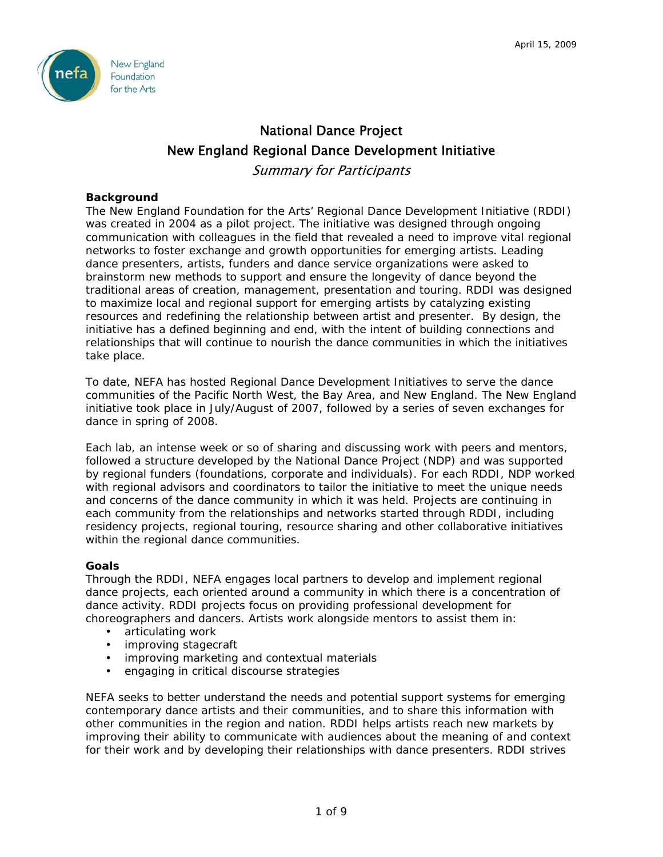

# National Dance Project New England Regional Dance Development Initiative

Summary for Participants

# **Background**

The New England Foundation for the Arts' Regional Dance Development Initiative (RDDI) was created in 2004 as a pilot project. The initiative was designed through ongoing communication with colleagues in the field that revealed a need to improve vital regional networks to foster exchange and growth opportunities for emerging artists. Leading dance presenters, artists, funders and dance service organizations were asked to brainstorm new methods to support and ensure the longevity of dance beyond the traditional areas of creation, management, presentation and touring. RDDI was designed to maximize local and regional support for emerging artists by catalyzing existing resources and redefining the relationship between artist and presenter. By design, the initiative has a defined beginning and end, with the intent of building connections and relationships that will continue to nourish the dance communities in which the initiatives take place.

To date, NEFA has hosted Regional Dance Development Initiatives to serve the dance communities of the Pacific North West, the Bay Area, and New England. The New England initiative took place in July/August of 2007, followed by a series of seven exchanges for dance in spring of 2008.

Each lab, an intense week or so of sharing and discussing work with peers and mentors, followed a structure developed by the National Dance Project (NDP) and was supported by regional funders (foundations, corporate and individuals). For each RDDI, NDP worked with regional advisors and coordinators to tailor the initiative to meet the unique needs and concerns of the dance community in which it was held. Projects are continuing in each community from the relationships and networks started through RDDI, including residency projects, regional touring, resource sharing and other collaborative initiatives within the regional dance communities.

## **Goals**

Through the RDDI, NEFA engages local partners to develop and implement regional dance projects, each oriented around a community in which there is a concentration of dance activity. RDDI projects focus on providing professional development for choreographers and dancers. Artists work alongside mentors to assist them in:

- articulating work
- improving stagecraft
- improving marketing and contextual materials
- engaging in critical discourse strategies

NEFA seeks to better understand the needs and potential support systems for emerging contemporary dance artists and their communities, and to share this information with other communities in the region and nation. RDDI helps artists reach new markets by improving their ability to communicate with audiences about the meaning of and context for their work and by developing their relationships with dance presenters. RDDI strives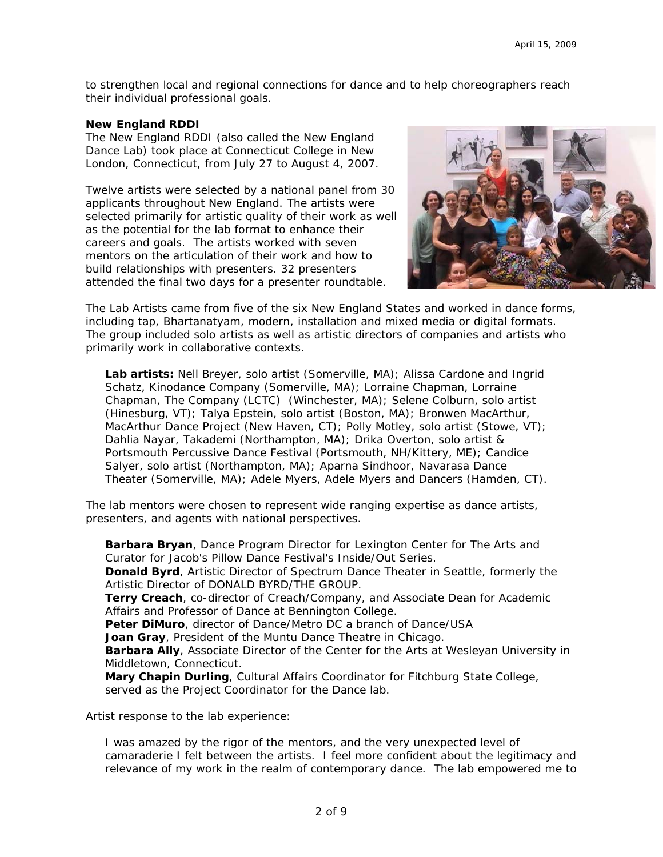to strengthen local and regional connections for dance and to help choreographers reach their individual professional goals.

#### **New England RDDI**

The New England RDDI (also called the New England Dance Lab) took place at Connecticut College in New London, Connecticut, from July 27 to August 4, 2007.

Twelve artists were selected by a national panel from 30 applicants throughout New England. The artists were selected primarily for artistic quality of their work as well as the potential for the lab format to enhance their careers and goals. The artists worked with seven mentors on the articulation of their work and how to build relationships with presenters. 32 presenters attended the final two days for a presenter roundtable.



The Lab Artists came from five of the six New England States and worked in dance forms, including tap, Bhartanatyam, modern, installation and mixed media or digital formats. The group included solo artists as well as artistic directors of companies and artists who primarily work in collaborative contexts.

**Lab artists:** Nell Breyer, solo artist (Somerville, MA); Alissa Cardone and Ingrid Schatz, Kinodance Company (Somerville, MA); Lorraine Chapman, Lorraine Chapman, The Company (LCTC) (Winchester, MA); Selene Colburn, solo artist (Hinesburg, VT); Talya Epstein, solo artist (Boston, MA); Bronwen MacArthur, MacArthur Dance Project (New Haven, CT); Polly Motley, solo artist (Stowe, VT); Dahlia Nayar, Takademi (Northampton, MA); Drika Overton, solo artist & Portsmouth Percussive Dance Festival (Portsmouth, NH/Kittery, ME); Candice Salyer, solo artist (Northampton, MA); Aparna Sindhoor, Navarasa Dance Theater (Somerville, MA); Adele Myers, Adele Myers and Dancers (Hamden, CT).

The lab mentors were chosen to represent wide ranging expertise as dance artists, presenters, and agents with national perspectives.

**Barbara Bryan**, Dance Program Director for Lexington Center for The Arts and Curator for Jacob's Pillow Dance Festival's Inside/Out Series. **Donald Byrd**, Artistic Director of Spectrum Dance Theater in Seattle, formerly the Artistic Director of DONALD BYRD/THE GROUP. **Terry Creach**, co-director of Creach/Company, and Associate Dean for Academic Affairs and Professor of Dance at Bennington College. **Peter DiMuro**, director of Dance/Metro DC a branch of Dance/USA **Joan Gray**, President of the Muntu Dance Theatre in Chicago. **Barbara Ally**, Associate Director of the Center for the Arts at Wesleyan University in Middletown, Connecticut. **Mary Chapin Durling**, Cultural Affairs Coordinator for Fitchburg State College, served as the Project Coordinator for the Dance lab.

Artist response to the lab experience:

*I* was amazed by the rigor of the mentors, and the very unexpected level of *camaraderie I felt between the artists. I feel more confident about the legitimacy and relevance of my work in the realm of contemporary dance. The lab empowered me to*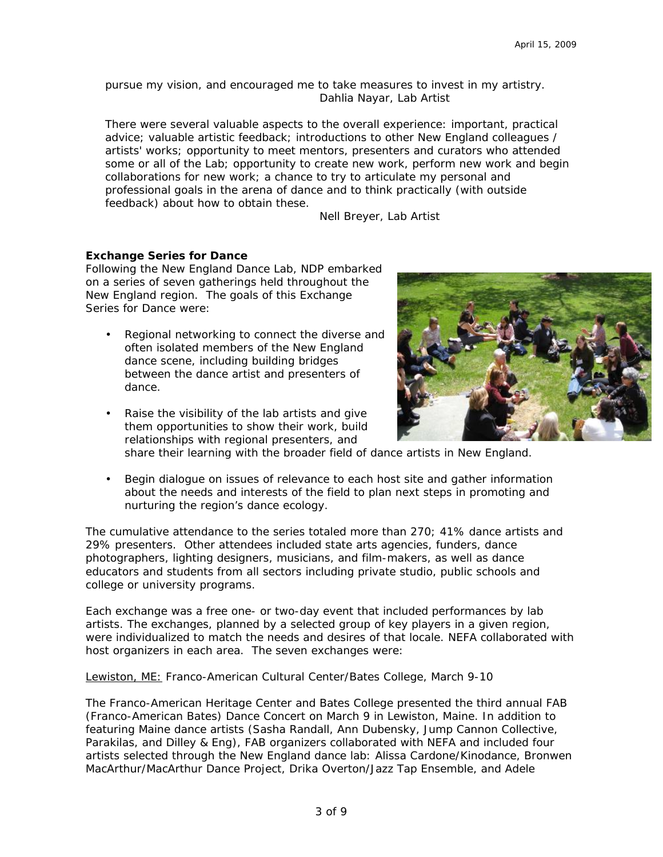*pursue my vision, and encouraged me to take measures to invest in my artistry.* Dahlia Nayar, Lab Artist

*There were several valuable aspects to the overall experience: important, practical advice; valuable artistic feedback; introductions to other New England colleagues / artists' works; opportunity to meet mentors, presenters and curators who attended some or all of the Lab; opportunity to create new work, perform new work and begin collaborations for new work; a chance to try to articulate my personal and professional goals in the arena of dance and to think practically (with outside feedback) about how to obtain these.* 

**Nell Breyer, Lab Artist** 

#### **Exchange Series for Dance**

Following the New England Dance Lab, NDP embarked on a series of seven gatherings held throughout the New England region. The goals of this Exchange Series for Dance were:

- Regional networking to connect the diverse and often isolated members of the New England dance scene, including building bridges between the dance artist and presenters of dance.
- Raise the visibility of the lab artists and give them opportunities to show their work, build relationships with regional presenters, and



share their learning with the broader field of dance artists in New England.

• Begin dialogue on issues of relevance to each host site and gather information about the needs and interests of the field to plan next steps in promoting and nurturing the region's dance ecology.

The cumulative attendance to the series totaled more than 270; 41% dance artists and 29% presenters. Other attendees included state arts agencies, funders, dance photographers, lighting designers, musicians, and film-makers, as well as dance educators and students from all sectors including private studio, public schools and college or university programs.

Each exchange was a free one- or two-day event that included performances by lab artists. The exchanges, planned by a selected group of key players in a given region, were individualized to match the needs and desires of that locale. NEFA collaborated with host organizers in each area. The seven exchanges were:

Lewiston, ME: Franco-American Cultural Center/Bates College, March 9-10

The Franco-American Heritage Center and Bates College presented the third annual FAB (Franco-American Bates) Dance Concert on March 9 in Lewiston, Maine. In addition to featuring Maine dance artists (Sasha Randall, Ann Dubensky, Jump Cannon Collective, Parakilas, and Dilley & Eng), FAB organizers collaborated with NEFA and included four artists selected through the New England dance lab: Alissa Cardone/Kinodance, Bronwen MacArthur/MacArthur Dance Project, Drika Overton/Jazz Tap Ensemble, and Adele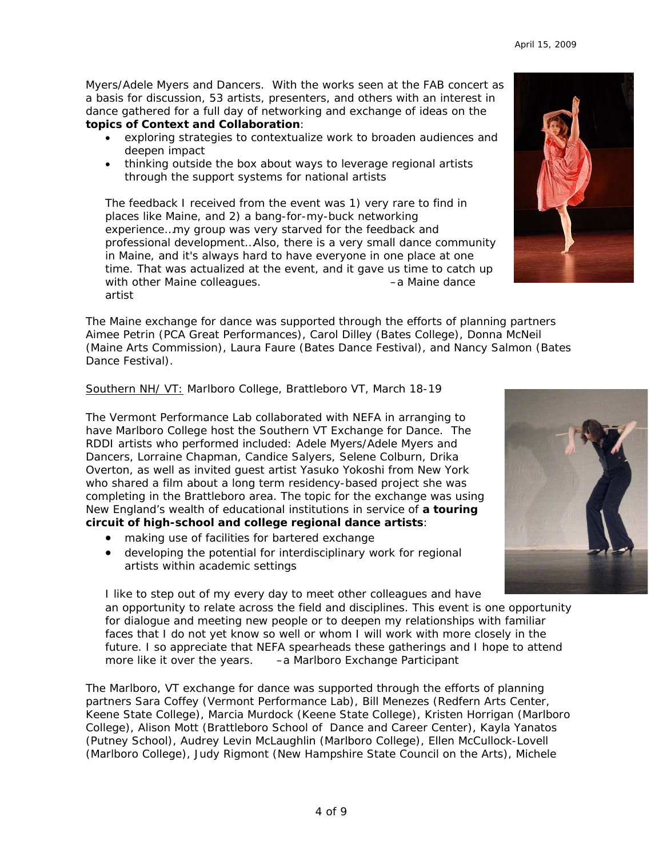Myers/Adele Myers and Dancers. With the works seen at the FAB concert as a basis for discussion, 53 artists, presenters, and others with an interest in dance gathered for a full day of networking and exchange of ideas on the **topics of Context and Collaboration**:

- exploring strategies to contextualize work to broaden audiences and deepen impact
- thinking outside the box about ways to leverage regional artists through the support systems for national artists

*The feedback I received from the event was 1) very rare to find in places like Maine, and 2) a bang-for-my-buck networking experience…my group was very starved for the feedback and professional development…Also, there is a very small dance community in Maine, and it's always hard to have everyone in one place at one time. That was actualized at the event, and it gave us time to catch up with other Maine colleagues.* –a Maine dance artist

The Maine exchange for dance was supported through the efforts of planning partners Aimee Petrin (PCA Great Performances), Carol Dilley (Bates College), Donna McNeil (Maine Arts Commission), Laura Faure (Bates Dance Festival), and Nancy Salmon (Bates Dance Festival).

Southern NH/ VT: Marlboro College, Brattleboro VT, March 18-19

The Vermont Performance Lab collaborated with NEFA in arranging to have Marlboro College host the Southern VT Exchange for Dance. The RDDI artists who performed included: Adele Myers/Adele Myers and Dancers, Lorraine Chapman, Candice Salyers, Selene Colburn, Drika Overton, as well as invited guest artist Yasuko Yokoshi from New York who shared a film about a long term residency-based project she was completing in the Brattleboro area. The topic for the exchange was using New England's wealth of educational institutions in service of **a touring circuit of high-school and college regional dance artists**:

- making use of facilities for bartered exchange
- developing the potential for interdisciplinary work for regional artists within academic settings

*I like to step out of my every day to meet other colleagues and have an opportunity to relate across the field and disciplines. This event is one opportunity*  for dialogue and meeting new people or to deepen my relationships with familiar faces that I do not yet know so well or whom I will work with more closely in the *future. I so appreciate that NEFA spearheads these gatherings and I hope to attend more like it over the years. –*a Marlboro Exchange Participant

The Marlboro, VT exchange for dance was supported through the efforts of planning partners Sara Coffey (Vermont Performance Lab), Bill Menezes (Redfern Arts Center, Keene State College), Marcia Murdock (Keene State College), Kristen Horrigan (Marlboro College), Alison Mott (Brattleboro School of Dance and Career Center), Kayla Yanatos (Putney School), Audrey Levin McLaughlin (Marlboro College), Ellen McCullock-Lovell (Marlboro College), Judy Rigmont (New Hampshire State Council on the Arts), Michele



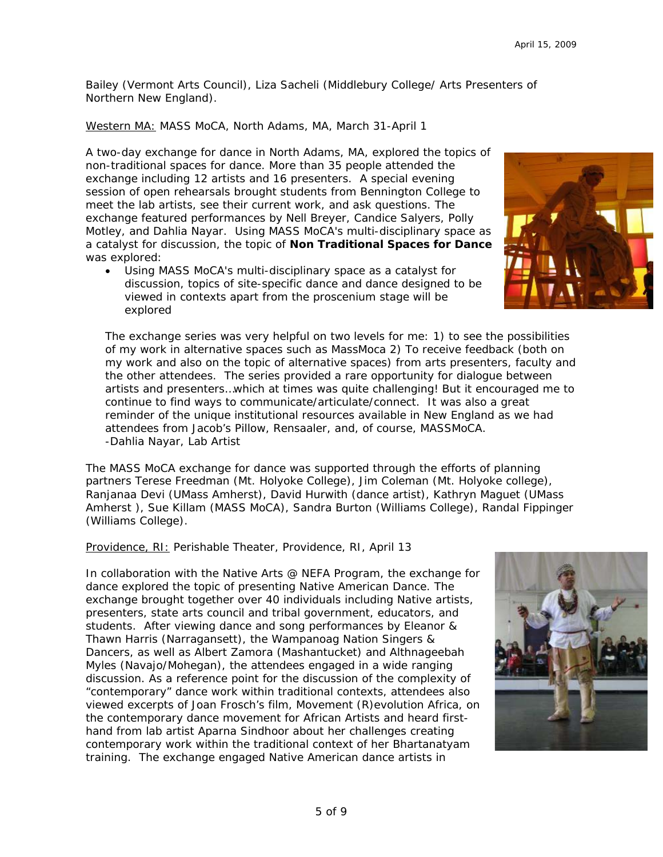Bailey (Vermont Arts Council), Liza Sacheli (Middlebury College/ Arts Presenters of Northern New England).

Western MA: MASS MoCA, North Adams, MA, March 31-April 1

A two-day exchange for dance in North Adams, MA, explored the topics of non-traditional spaces for dance. More than 35 people attended the exchange including 12 artists and 16 presenters. A special evening session of open rehearsals brought students from Bennington College to meet the lab artists, see their current work, and ask questions. The exchange featured performances by Nell Breyer, Candice Salyers, Polly Motley, and Dahlia Nayar. Using MASS MoCA's multi-disciplinary space as a catalyst for discussion, the topic of **Non Traditional Spaces for Dance**  was explored:

• Using MASS MoCA's multi-disciplinary space as a catalyst for discussion, topics of site-specific dance and dance designed to be viewed in contexts apart from the proscenium stage will be explored

*The exchange series was very helpful on two levels for me: 1) to see the possibilities of my work in alternative spaces such as MassMoca 2) To receive feedback (both on my work and also on the topic of alternative spaces) from arts presenters, faculty and the other attendees. The series provided a rare opportunity for dialogue between artists and presenters…which at times was quite challenging! But it encouraged me to continue to find ways to communicate/articulate/connect. It was also a great reminder of the unique institutional resources available in New England as we had attendees from Jacob's Pillow, Rensaaler, and, of course, MASSMoCA. -*Dahlia Nayar, Lab Artist

The MASS MoCA exchange for dance was supported through the efforts of planning partners Terese Freedman (Mt. Holyoke College), Jim Coleman (Mt. Holyoke college), Ranjanaa Devi (UMass Amherst), David Hurwith (dance artist), Kathryn Maguet (UMass Amherst ), Sue Killam (MASS MoCA), Sandra Burton (Williams College), Randal Fippinger (Williams College).

Providence, RI: Perishable Theater, Providence, RI, April 13

In collaboration with the Native Arts @ NEFA Program, the exchange for dance explored the topic of presenting Native American Dance. The exchange brought together over 40 individuals including Native artists, presenters, state arts council and tribal government, educators, and students. After viewing dance and song performances by Eleanor & Thawn Harris (Narragansett), the Wampanoag Nation Singers & Dancers, as well as Albert Zamora (Mashantucket) and Althnageebah Myles (Navajo/Mohegan), the attendees engaged in a wide ranging discussion. As a reference point for the discussion of the complexity of "contemporary" dance work within traditional contexts, attendees also viewed excerpts of Joan Frosch's film, *Movement (R)evolution Africa*, on the contemporary dance movement for African Artists and heard firsthand from lab artist Aparna Sindhoor about her challenges creating contemporary work within the traditional context of her Bhartanatyam training. The exchange engaged Native American dance artists in



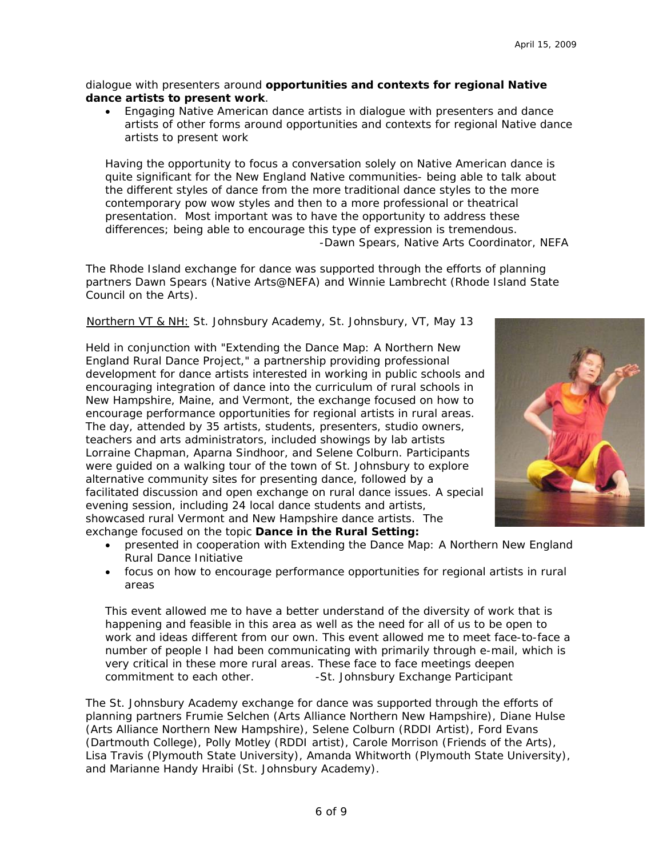dialogue with presenters around **opportunities and contexts for regional Native dance artists to present work**.

• Engaging Native American dance artists in dialogue with presenters and dance artists of other forms around opportunities and contexts for regional Native dance artists to present work

*Having the opportunity to focus a conversation solely on Native American dance is quite significant for the New England Native communities- being able to talk about the different styles of dance from the more traditional dance styles to the more contemporary pow wow styles and then to a more professional or theatrical presentation. Most important was to have the opportunity to address these differences; being able to encourage this type of expression is tremendous.*  -Dawn Spears, Native Arts Coordinator, NEFA

The Rhode Island exchange for dance was supported through the efforts of planning partners Dawn Spears (Native Arts@NEFA) and Winnie Lambrecht (Rhode Island State Council on the Arts).

Northern VT & NH: St. Johnsbury Academy, St. Johnsbury, VT, May 13

Held in conjunction with "Extending the Dance Map: A Northern New England Rural Dance Project," a partnership providing professional development for dance artists interested in working in public schools and encouraging integration of dance into the curriculum of rural schools in New Hampshire, Maine, and Vermont, the exchange focused on how to encourage performance opportunities for regional artists in rural areas. The day, attended by 35 artists, students, presenters, studio owners, teachers and arts administrators, included showings by lab artists Lorraine Chapman, Aparna Sindhoor, and Selene Colburn. Participants were guided on a walking tour of the town of St. Johnsbury to explore alternative community sites for presenting dance, followed by a facilitated discussion and open exchange on rural dance issues. A special evening session, including 24 local dance students and artists, showcased rural Vermont and New Hampshire dance artists. The exchange focused on the topic *Dance in the Rural Setting:*



- presented in cooperation with Extending the Dance Map: A Northern New England Rural Dance Initiative
- focus on how to encourage performance opportunities for regional artists in rural areas

*This event allowed me to have a better understand of the diversity of work that is*  happening and feasible in this area as well as the need for all of us to be open to *work and ideas different from our own. This event allowed me to meet face-to-face a number of people I had been communicating with primarily through e-mail, which is very critical in these more rural areas. These face to face meetings deepen commitment to each other.* - -St. Johnsbury Exchange Participant

The St. Johnsbury Academy exchange for dance was supported through the efforts of planning partners Frumie Selchen (Arts Alliance Northern New Hampshire), Diane Hulse (Arts Alliance Northern New Hampshire), Selene Colburn (RDDI Artist), Ford Evans (Dartmouth College), Polly Motley (RDDI artist), Carole Morrison (Friends of the Arts), Lisa Travis (Plymouth State University), Amanda Whitworth (Plymouth State University), and Marianne Handy Hraibi (St. Johnsbury Academy).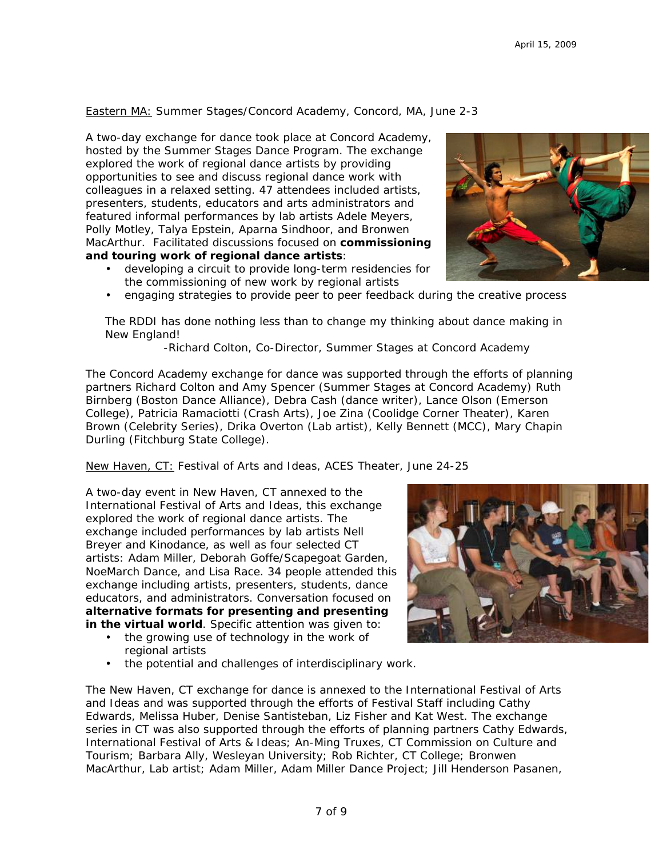Eastern MA: Summer Stages/Concord Academy, Concord, MA, June 2-3

A two-day exchange for dance took place at Concord Academy, hosted by the Summer Stages Dance Program. The exchange explored the work of regional dance artists by providing opportunities to see and discuss regional dance work with colleagues in a relaxed setting. 47 attendees included artists, presenters, students, educators and arts administrators and featured informal performances by lab artists Adele Meyers, Polly Motley, Talya Epstein, Aparna Sindhoor, and Bronwen MacArthur.Facilitated discussions focused on **commissioning and touring work of regional dance artists**:

• developing a circuit to provide long-term residencies for the commissioning of new work by regional artists



• engaging strategies to provide peer to peer feedback during the creative process

*The RDDI has done nothing less than to change my thinking about dance making in New England!* 

*-*Richard Colton, Co-Director, Summer Stages at Concord Academy

The Concord Academy exchange for dance was supported through the efforts of planning partners Richard Colton and Amy Spencer (Summer Stages at Concord Academy) Ruth Birnberg (Boston Dance Alliance), Debra Cash (dance writer), Lance Olson (Emerson College), Patricia Ramaciotti (Crash Arts), Joe Zina (Coolidge Corner Theater), Karen Brown (Celebrity Series), Drika Overton (Lab artist), Kelly Bennett (MCC), Mary Chapin Durling (Fitchburg State College).

New Haven, CT: Festival of Arts and Ideas, ACES Theater, June 24-25

A two-day event in New Haven, CT annexed to the International Festival of Arts and Ideas, this exchange explored the work of regional dance artists. The exchange included performances by lab artists Nell Breyer and Kinodance, as well as four selected CT artists: Adam Miller, Deborah Goffe/Scapegoat Garden, NoeMarch Dance, and Lisa Race. 34 people attended this exchange including artists, presenters, students, dance educators, and administrators. Conversation focused on **alternative formats for presenting and presenting in the virtual world**. Specific attention was given to:

- the growing use of technology in the work of regional artists
- the potential and challenges of interdisciplinary work.



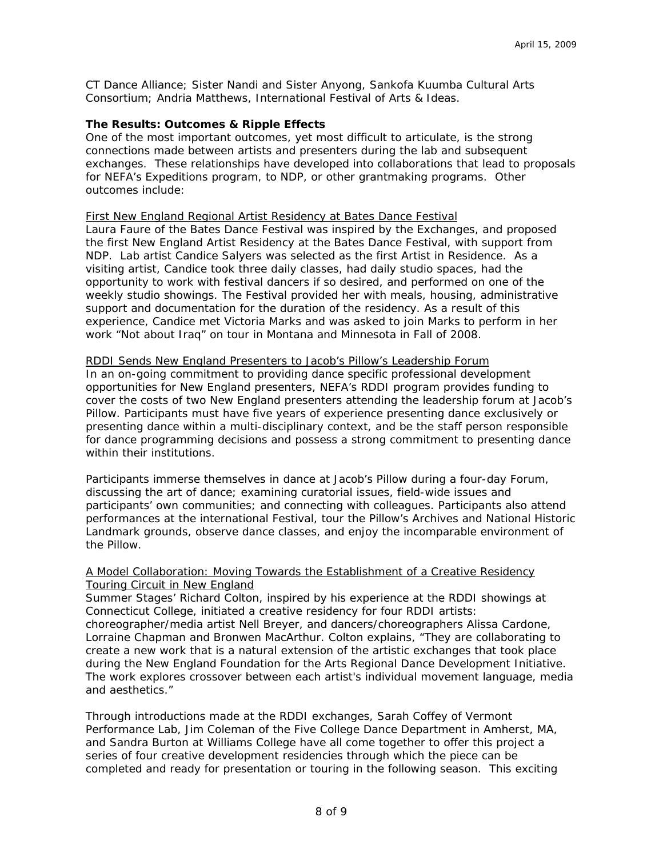CT Dance Alliance; Sister Nandi and Sister Anyong, Sankofa Kuumba Cultural Arts Consortium; Andria Matthews, International Festival of Arts & Ideas.

#### **The Results: Outcomes & Ripple Effects**

One of the most important outcomes, yet most difficult to articulate, is the strong connections made between artists and presenters during the lab and subsequent exchanges. These relationships have developed into collaborations that lead to proposals for NEFA's Expeditions program, to NDP, or other grantmaking programs. Other outcomes include:

#### First New England Regional Artist Residency at Bates Dance Festival

Laura Faure of the Bates Dance Festival was inspired by the Exchanges, and proposed the first New England Artist Residency at the Bates Dance Festival, with support from NDP. Lab artist Candice Salyers was selected as the first Artist in Residence. As a visiting artist, Candice took three daily classes, had daily studio spaces, had the opportunity to work with festival dancers if so desired, and performed on one of the weekly studio showings. The Festival provided her with meals, housing, administrative support and documentation for the duration of the residency. As a result of this experience, Candice met Victoria Marks and was asked to join Marks to perform in her work "Not about Iraq" on tour in Montana and Minnesota in Fall of 2008.

#### RDDI Sends New England Presenters to Jacob's Pillow's Leadership Forum

In an on-going commitment to providing dance specific professional development opportunities for New England presenters, NEFA's RDDI program provides funding to cover the costs of two New England presenters attending the leadership forum at Jacob's Pillow. Participants must have five years of experience presenting dance exclusively or presenting dance within a multi-disciplinary context, and be the staff person responsible for dance programming decisions and possess a strong commitment to presenting dance within their institutions.

Participants immerse themselves in dance at Jacob's Pillow during a four-day Forum, discussing the art of dance; examining curatorial issues, field-wide issues and participants' own communities; and connecting with colleagues. Participants also attend performances at the international Festival, tour the Pillow's Archives and National Historic Landmark grounds, observe dance classes, and enjoy the incomparable environment of the Pillow.

## A Model Collaboration: Moving Towards the Establishment of a Creative Residency Touring Circuit in New England

Summer Stages' Richard Colton, inspired by his experience at the RDDI showings at Connecticut College, initiated a creative residency for four RDDI artists: choreographer/media artist Nell Breyer, and dancers/choreographers Alissa Cardone, Lorraine Chapman and Bronwen MacArthur. Colton explains, "They are collaborating to create a new work that is a natural extension of the artistic exchanges that took place during the New England Foundation for the Arts Regional Dance Development Initiative. The work explores crossover between each artist's individual movement language, media and aesthetics."

Through introductions made at the RDDI exchanges, Sarah Coffey of Vermont Performance Lab, Jim Coleman of the Five College Dance Department in Amherst, MA, and Sandra Burton at Williams College have all come together to offer this project a series of four creative development residencies through which the piece can be completed and ready for presentation or touring in the following season. This exciting